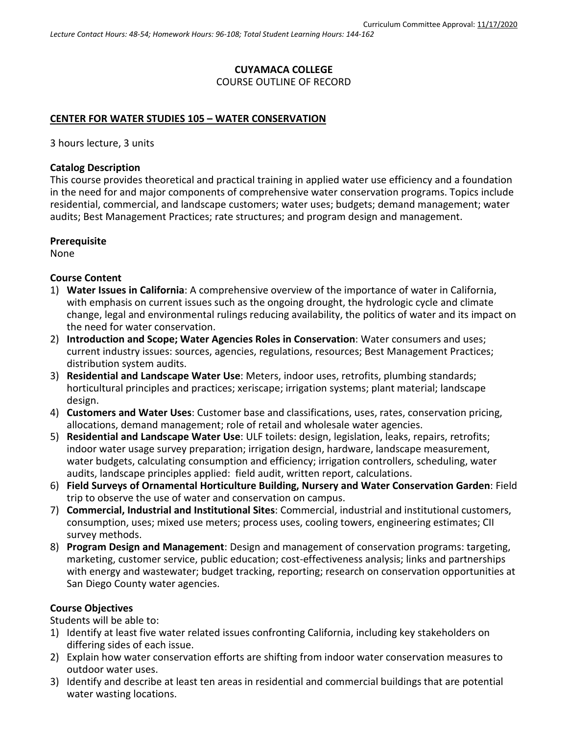## **CUYAMACA COLLEGE** COURSE OUTLINE OF RECORD

#### **CENTER FOR WATER STUDIES 105 – WATER CONSERVATION**

3 hours lecture, 3 units

#### **Catalog Description**

This course provides theoretical and practical training in applied water use efficiency and a foundation in the need for and major components of comprehensive water conservation programs. Topics include residential, commercial, and landscape customers; water uses; budgets; demand management; water audits; Best Management Practices; rate structures; and program design and management.

#### **Prerequisite**

None

#### **Course Content**

- 1) **Water Issues in California**: A comprehensive overview of the importance of water in California, with emphasis on current issues such as the ongoing drought, the hydrologic cycle and climate change, legal and environmental rulings reducing availability, the politics of water and its impact on the need for water conservation.
- 2) **Introduction and Scope; Water Agencies Roles in Conservation**: Water consumers and uses; current industry issues: sources, agencies, regulations, resources; Best Management Practices; distribution system audits.
- 3) **Residential and Landscape Water Use**: Meters, indoor uses, retrofits, plumbing standards; horticultural principles and practices; xeriscape; irrigation systems; plant material; landscape design.
- 4) **Customers and Water Uses**: Customer base and classifications, uses, rates, conservation pricing, allocations, demand management; role of retail and wholesale water agencies.
- 5) **Residential and Landscape Water Use**: ULF toilets: design, legislation, leaks, repairs, retrofits; indoor water usage survey preparation; irrigation design, hardware, landscape measurement, water budgets, calculating consumption and efficiency; irrigation controllers, scheduling, water audits, landscape principles applied: field audit, written report, calculations.
- 6) **Field Surveys of Ornamental Horticulture Building, Nursery and Water Conservation Garden**: Field trip to observe the use of water and conservation on campus.
- 7) **Commercial, Industrial and Institutional Sites**: Commercial, industrial and institutional customers, consumption, uses; mixed use meters; process uses, cooling towers, engineering estimates; CII survey methods.
- 8) **Program Design and Management**: Design and management of conservation programs: targeting, marketing, customer service, public education; cost-effectiveness analysis; links and partnerships with energy and wastewater; budget tracking, reporting; research on conservation opportunities at San Diego County water agencies.

#### **Course Objectives**

Students will be able to:

- 1) Identify at least five water related issues confronting California, including key stakeholders on differing sides of each issue.
- 2) Explain how water conservation efforts are shifting from indoor water conservation measures to outdoor water uses.
- 3) Identify and describe at least ten areas in residential and commercial buildings that are potential water wasting locations.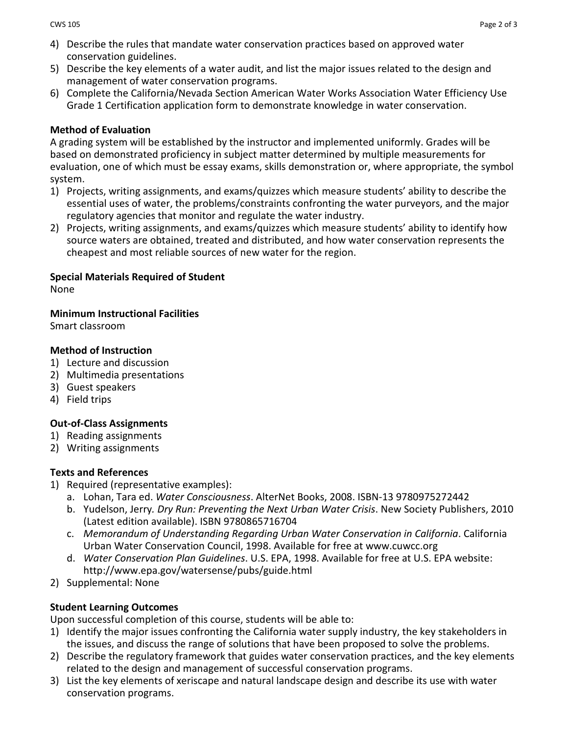- 4) Describe the rules that mandate water conservation practices based on approved water conservation guidelines.
- 5) Describe the key elements of a water audit, and list the major issues related to the design and management of water conservation programs.
- 6) Complete the California/Nevada Section American Water Works Association Water Efficiency Use Grade 1 Certification application form to demonstrate knowledge in water conservation.

# **Method of Evaluation**

A grading system will be established by the instructor and implemented uniformly. Grades will be based on demonstrated proficiency in subject matter determined by multiple measurements for evaluation, one of which must be essay exams, skills demonstration or, where appropriate, the symbol system.

- 1) Projects, writing assignments, and exams/quizzes which measure students' ability to describe the essential uses of water, the problems/constraints confronting the water purveyors, and the major regulatory agencies that monitor and regulate the water industry.
- 2) Projects, writing assignments, and exams/quizzes which measure students' ability to identify how source waters are obtained, treated and distributed, and how water conservation represents the cheapest and most reliable sources of new water for the region.

# **Special Materials Required of Student**

None

**Minimum Instructional Facilities**

Smart classroom

# **Method of Instruction**

- 1) Lecture and discussion
- 2) Multimedia presentations
- 3) Guest speakers
- 4) Field trips

# **Out-of-Class Assignments**

- 1) Reading assignments
- 2) Writing assignments

### **Texts and References**

- 1) Required (representative examples):
	- a. Lohan, Tara ed. *Water Consciousness*. AlterNet Books, 2008. ISBN-13 9780975272442
	- b. Yudelson, Jerry*. Dry Run: Preventing the Next Urban Water Crisis*. New Society Publishers, 2010 (Latest edition available). ISBN 9780865716704
	- c. *Memorandum of Understanding Regarding Urban Water Conservation in California*. California Urban Water Conservation Council, 1998. Available for free at [www.cuwcc.org](http://www.cuwcc.org/)
	- d. *Water Conservation Plan Guidelines*. U.S. EPA, 1998. Available for free at U.S. EPA website: <http://www.epa.gov/watersense/pubs/guide.html>
- 2) Supplemental: None

### **Student Learning Outcomes**

Upon successful completion of this course, students will be able to:

- 1) Identify the major issues confronting the California water supply industry, the key stakeholders in the issues, and discuss the range of solutions that have been proposed to solve the problems.
- 2) Describe the regulatory framework that guides water conservation practices, and the key elements related to the design and management of successful conservation programs.
- 3) List the key elements of xeriscape and natural landscape design and describe its use with water conservation programs.